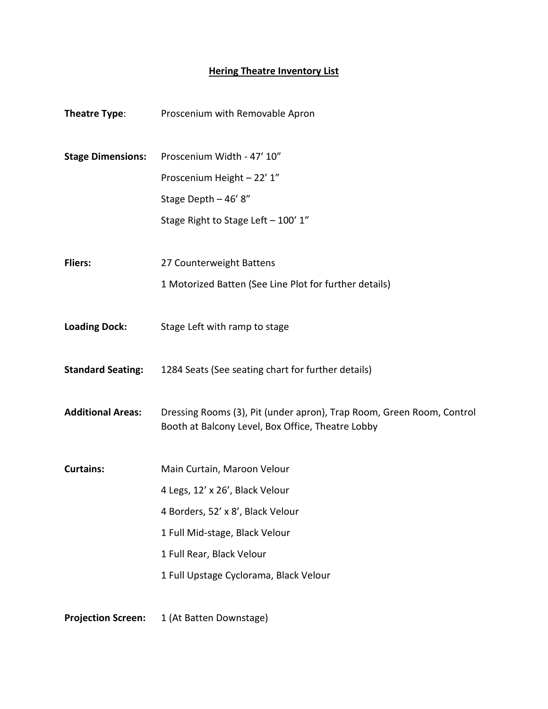## **Hering Theatre Inventory List**

| Theatre Type:             | Proscenium with Removable Apron                                                                                            |
|---------------------------|----------------------------------------------------------------------------------------------------------------------------|
| <b>Stage Dimensions:</b>  | Proscenium Width - 47' 10"                                                                                                 |
|                           | Proscenium Height - 22' 1"                                                                                                 |
|                           | Stage Depth - 46' 8"                                                                                                       |
|                           | Stage Right to Stage Left - 100' 1"                                                                                        |
| <b>Fliers:</b>            | 27 Counterweight Battens                                                                                                   |
|                           | 1 Motorized Batten (See Line Plot for further details)                                                                     |
| <b>Loading Dock:</b>      | Stage Left with ramp to stage                                                                                              |
| <b>Standard Seating:</b>  | 1284 Seats (See seating chart for further details)                                                                         |
| <b>Additional Areas:</b>  | Dressing Rooms (3), Pit (under apron), Trap Room, Green Room, Control<br>Booth at Balcony Level, Box Office, Theatre Lobby |
| <b>Curtains:</b>          | Main Curtain, Maroon Velour                                                                                                |
|                           | 4 Legs, 12' x 26', Black Velour                                                                                            |
|                           | 4 Borders, 52' x 8', Black Velour                                                                                          |
|                           | 1 Full Mid-stage, Black Velour                                                                                             |
|                           | 1 Full Rear, Black Velour                                                                                                  |
|                           | 1 Full Upstage Cyclorama, Black Velour                                                                                     |
| <b>Projection Screen:</b> | 1 (At Batten Downstage)                                                                                                    |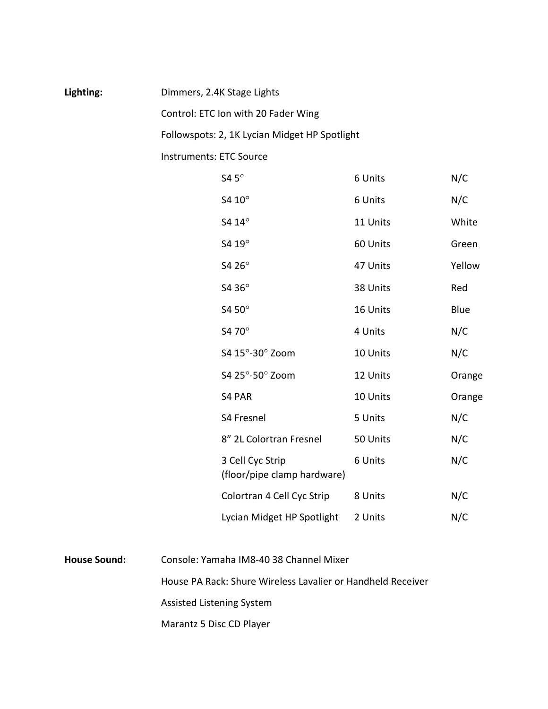## Lighting: Dimmers, 2.4K Stage Lights

Control: ETC Ion with 20 Fader Wing

Followspots: 2, 1K Lycian Midget HP Spotlight

Instruments: ETC Source

| S4 $5^\circ$                                    | 6 Units  | N/C    |
|-------------------------------------------------|----------|--------|
| S4 10°                                          | 6 Units  | N/C    |
| S4 14°                                          | 11 Units | White  |
| S4 19°                                          | 60 Units | Green  |
| S4 26°                                          | 47 Units | Yellow |
| S4 36°                                          | 38 Units | Red    |
| S4 50°                                          | 16 Units | Blue   |
| S4 70°                                          | 4 Units  | N/C    |
| S4 15°-30° Zoom                                 | 10 Units | N/C    |
| S4 25°-50° Zoom                                 | 12 Units | Orange |
| <b>S4 PAR</b>                                   | 10 Units | Orange |
| S4 Fresnel                                      | 5 Units  | N/C    |
| 8" 2L Colortran Fresnel                         | 50 Units | N/C    |
| 3 Cell Cyc Strip<br>(floor/pipe clamp hardware) | 6 Units  | N/C    |
| Colortran 4 Cell Cyc Strip                      | 8 Units  | N/C    |
| Lycian Midget HP Spotlight                      | 2 Units  | N/C    |

**House Sound:** Console: Yamaha IM8-40 38 Channel Mixer House PA Rack: Shure Wireless Lavalier or Handheld Receiver Assisted Listening System

Marantz 5 Disc CD Player